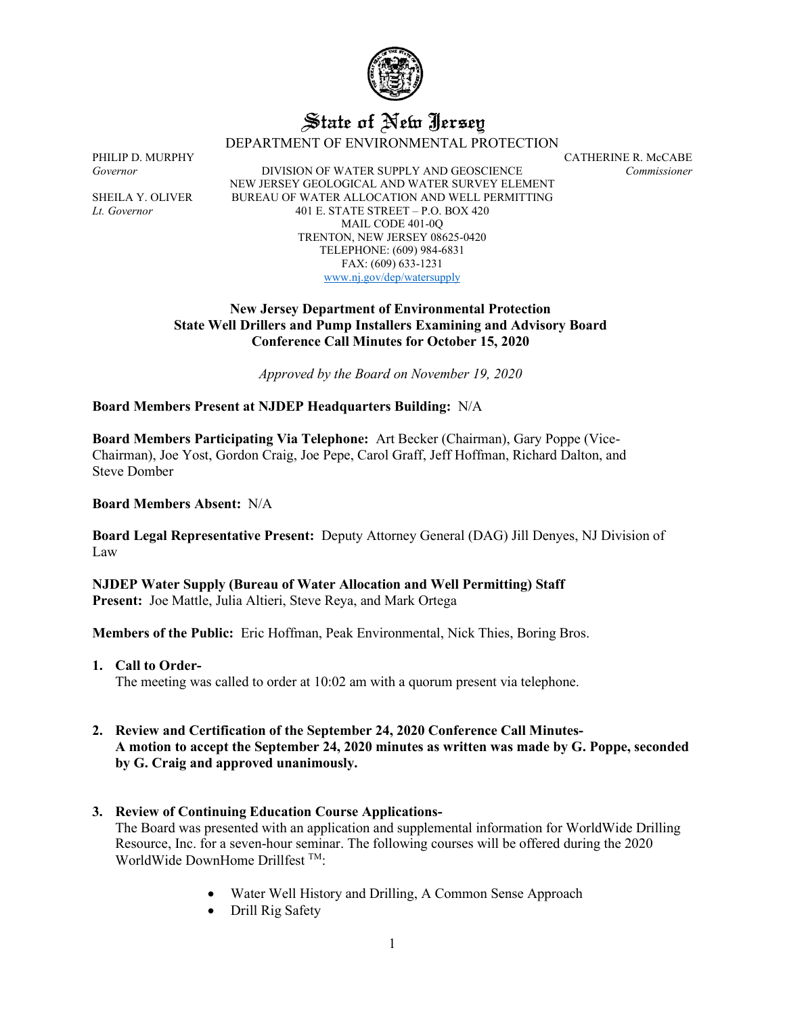

# State of New Jersey

DEPARTMENT OF ENVIRONMENTAL PROTECTION

*Governor* DIVISION OF WATER SUPPLY AND GEOSCIENCE *Commissioner* NEW JERSEY GEOLOGICAL AND WATER SURVEY ELEMENT SHEILA Y. OLIVER BUREAU OF WATER ALLOCATION AND WELL PERMITTING *Lt. Governor* 401 E. STATE STREET – P.O. BOX 420 MAIL CODE 401-0Q TRENTON, NEW JERSEY 08625-0420 TELEPHONE: (609) 984-6831 FAX: (609) 633-1231 [www.nj.gov/dep/watersupply](http://www.nj.gov/dep/watersupply)

## **New Jersey Department of Environmental Protection State Well Drillers and Pump Installers Examining and Advisory Board Conference Call Minutes for October 15, 2020**

*Approved by the Board on November 19, 2020*

## **Board Members Present at NJDEP Headquarters Building:** N/A

**Board Members Participating Via Telephone:** Art Becker (Chairman), Gary Poppe (Vice-Chairman), Joe Yost, Gordon Craig, Joe Pepe, Carol Graff, Jeff Hoffman, Richard Dalton, and Steve Domber

**Board Members Absent:** N/A

**Board Legal Representative Present:** Deputy Attorney General (DAG) Jill Denyes, NJ Division of Law

**NJDEP Water Supply (Bureau of Water Allocation and Well Permitting) Staff Present:** Joe Mattle, Julia Altieri, Steve Reya, and Mark Ortega

**Members of the Public:** Eric Hoffman, Peak Environmental, Nick Thies, Boring Bros.

**1. Call to Order-**

The meeting was called to order at 10:02 am with a quorum present via telephone.

- **2. Review and Certification of the September 24, 2020 Conference Call Minutes-A motion to accept the September 24, 2020 minutes as written was made by G. Poppe, seconded by G. Craig and approved unanimously.**
- **3. Review of Continuing Education Course Applications-**

The Board was presented with an application and supplemental information for WorldWide Drilling Resource, Inc. for a seven-hour seminar. The following courses will be offered during the 2020 WorldWide DownHome Drillfest TM:

- Water Well History and Drilling, A Common Sense Approach
- Drill Rig Safety

PHILIP D. MURPHY CATHERINE R. McCABE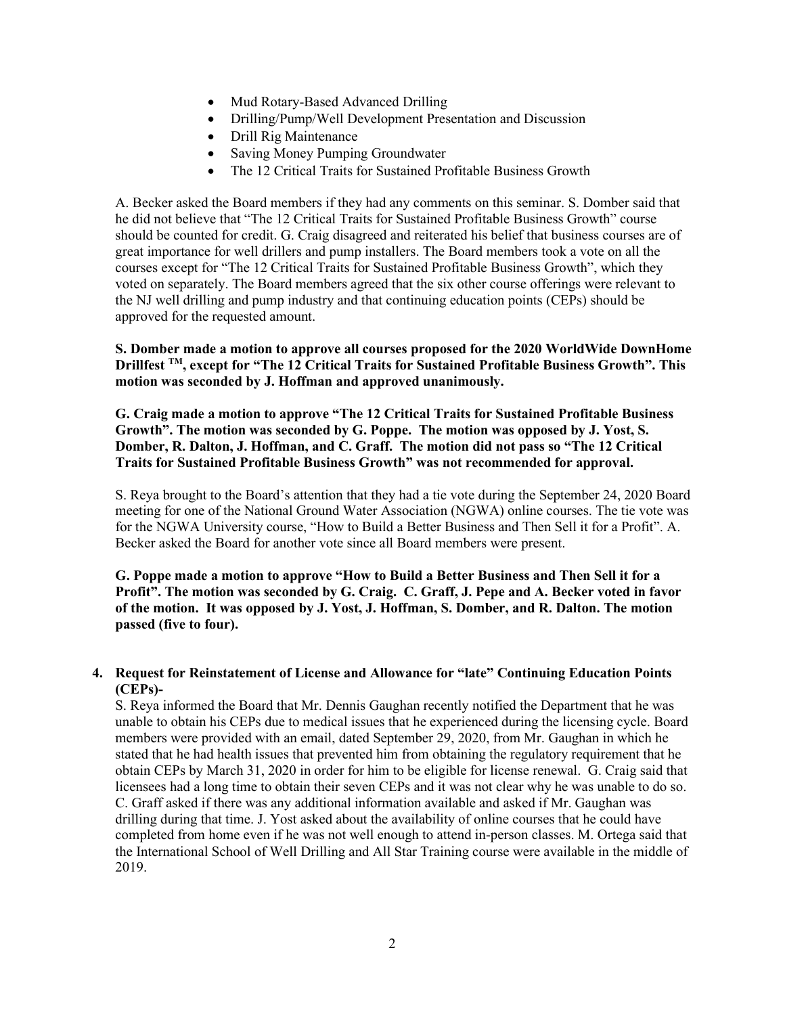- Mud Rotary-Based Advanced Drilling
- Drilling/Pump/Well Development Presentation and Discussion
- Drill Rig Maintenance
- Saving Money Pumping Groundwater
- The 12 Critical Traits for Sustained Profitable Business Growth

A. Becker asked the Board members if they had any comments on this seminar. S. Domber said that he did not believe that "The 12 Critical Traits for Sustained Profitable Business Growth" course should be counted for credit. G. Craig disagreed and reiterated his belief that business courses are of great importance for well drillers and pump installers. The Board members took a vote on all the courses except for "The 12 Critical Traits for Sustained Profitable Business Growth", which they voted on separately. The Board members agreed that the six other course offerings were relevant to the NJ well drilling and pump industry and that continuing education points (CEPs) should be approved for the requested amount.

## **S. Domber made a motion to approve all courses proposed for the 2020 WorldWide DownHome Drillfest TM, except for "The 12 Critical Traits for Sustained Profitable Business Growth". This motion was seconded by J. Hoffman and approved unanimously.**

**G. Craig made a motion to approve "The 12 Critical Traits for Sustained Profitable Business Growth". The motion was seconded by G. Poppe. The motion was opposed by J. Yost, S. Domber, R. Dalton, J. Hoffman, and C. Graff. The motion did not pass so "The 12 Critical Traits for Sustained Profitable Business Growth" was not recommended for approval.**

S. Reya brought to the Board's attention that they had a tie vote during the September 24, 2020 Board meeting for one of the National Ground Water Association (NGWA) online courses. The tie vote was for the NGWA University course, "How to Build a Better Business and Then Sell it for a Profit". A. Becker asked the Board for another vote since all Board members were present.

**G. Poppe made a motion to approve "How to Build a Better Business and Then Sell it for a Profit". The motion was seconded by G. Craig. C. Graff, J. Pepe and A. Becker voted in favor of the motion. It was opposed by J. Yost, J. Hoffman, S. Domber, and R. Dalton. The motion passed (five to four).**

## **4. Request for Reinstatement of License and Allowance for "late" Continuing Education Points (CEPs)-**

S. Reya informed the Board that Mr. Dennis Gaughan recently notified the Department that he was unable to obtain his CEPs due to medical issues that he experienced during the licensing cycle. Board members were provided with an email, dated September 29, 2020, from Mr. Gaughan in which he stated that he had health issues that prevented him from obtaining the regulatory requirement that he obtain CEPs by March 31, 2020 in order for him to be eligible for license renewal. G. Craig said that licensees had a long time to obtain their seven CEPs and it was not clear why he was unable to do so. C. Graff asked if there was any additional information available and asked if Mr. Gaughan was drilling during that time. J. Yost asked about the availability of online courses that he could have completed from home even if he was not well enough to attend in-person classes. M. Ortega said that the International School of Well Drilling and All Star Training course were available in the middle of 2019.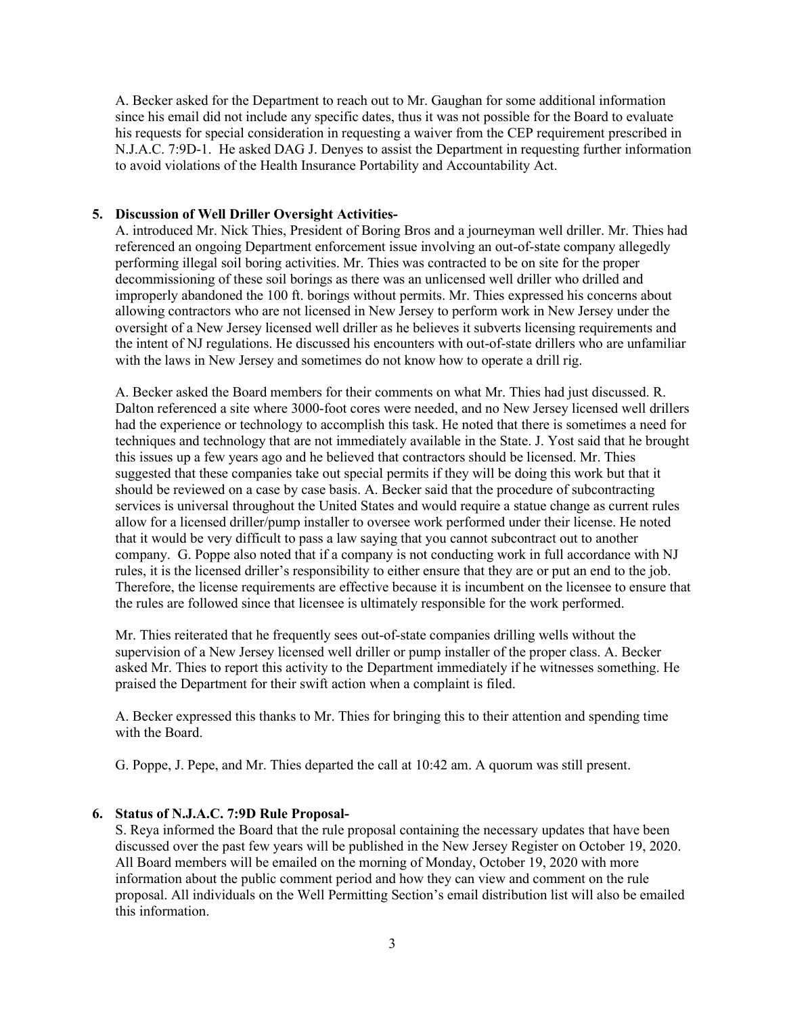A. Becker asked for the Department to reach out to Mr. Gaughan for some additional information since his email did not include any specific dates, thus it was not possible for the Board to evaluate his requests for special consideration in requesting a waiver from the CEP requirement prescribed in N.J.A.C. 7:9D-1. He asked DAG J. Denyes to assist the Department in requesting further information to avoid violations of the Health Insurance Portability and Accountability Act.

#### **5. Discussion of Well Driller Oversight Activities-**

A. introduced Mr. Nick Thies, President of Boring Bros and a journeyman well driller. Mr. Thies had referenced an ongoing Department enforcement issue involving an out-of-state company allegedly performing illegal soil boring activities. Mr. Thies was contracted to be on site for the proper decommissioning of these soil borings as there was an unlicensed well driller who drilled and improperly abandoned the 100 ft. borings without permits. Mr. Thies expressed his concerns about allowing contractors who are not licensed in New Jersey to perform work in New Jersey under the oversight of a New Jersey licensed well driller as he believes it subverts licensing requirements and the intent of NJ regulations. He discussed his encounters with out-of-state drillers who are unfamiliar with the laws in New Jersey and sometimes do not know how to operate a drill rig.

A. Becker asked the Board members for their comments on what Mr. Thies had just discussed. R. Dalton referenced a site where 3000-foot cores were needed, and no New Jersey licensed well drillers had the experience or technology to accomplish this task. He noted that there is sometimes a need for techniques and technology that are not immediately available in the State. J. Yost said that he brought this issues up a few years ago and he believed that contractors should be licensed. Mr. Thies suggested that these companies take out special permits if they will be doing this work but that it should be reviewed on a case by case basis. A. Becker said that the procedure of subcontracting services is universal throughout the United States and would require a statue change as current rules allow for a licensed driller/pump installer to oversee work performed under their license. He noted that it would be very difficult to pass a law saying that you cannot subcontract out to another company. G. Poppe also noted that if a company is not conducting work in full accordance with NJ rules, it is the licensed driller's responsibility to either ensure that they are or put an end to the job. Therefore, the license requirements are effective because it is incumbent on the licensee to ensure that the rules are followed since that licensee is ultimately responsible for the work performed.

Mr. Thies reiterated that he frequently sees out-of-state companies drilling wells without the supervision of a New Jersey licensed well driller or pump installer of the proper class. A. Becker asked Mr. Thies to report this activity to the Department immediately if he witnesses something. He praised the Department for their swift action when a complaint is filed.

A. Becker expressed this thanks to Mr. Thies for bringing this to their attention and spending time with the Board.

G. Poppe, J. Pepe, and Mr. Thies departed the call at 10:42 am. A quorum was still present.

## **6. Status of N.J.A.C. 7:9D Rule Proposal-**

S. Reya informed the Board that the rule proposal containing the necessary updates that have been discussed over the past few years will be published in the New Jersey Register on October 19, 2020. All Board members will be emailed on the morning of Monday, October 19, 2020 with more information about the public comment period and how they can view and comment on the rule proposal. All individuals on the Well Permitting Section's email distribution list will also be emailed this information.